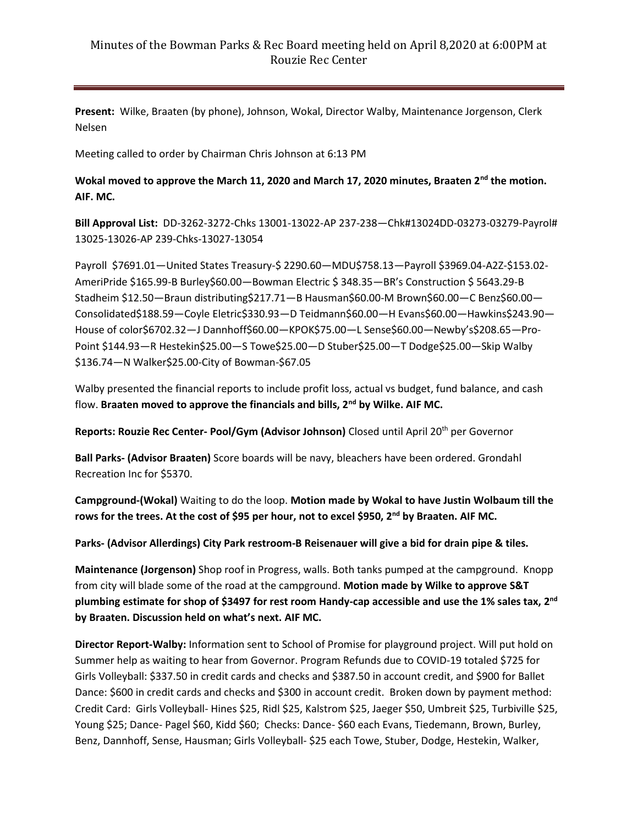## Minutes of the Bowman Parks & Rec Board meeting held on April 8,2020 at 6:00PM at Rouzie Rec Center

**Present:** Wilke, Braaten (by phone), Johnson, Wokal, Director Walby, Maintenance Jorgenson, Clerk Nelsen

Meeting called to order by Chairman Chris Johnson at 6:13 PM

## **Wokal moved to approve the March 11, 2020 and March 17, 2020 minutes, Braaten 2nd the motion. AIF. MC.**

**Bill Approval List:** DD-3262-3272-Chks 13001-13022-AP 237-238—Chk#13024DD-03273-03279-Payrol# 13025-13026-AP 239-Chks-13027-13054

Payroll \$7691.01—United States Treasury-\$ 2290.60—MDU\$758.13—Payroll \$3969.04-A2Z-\$153.02- AmeriPride \$165.99-B Burley\$60.00—Bowman Electric \$ 348.35—BR's Construction \$ 5643.29-B Stadheim \$12.50—Braun distributing\$217.71—B Hausman\$60.00-M Brown\$60.00—C Benz\$60.00— Consolidated\$188.59—Coyle Eletric\$330.93—D Teidmann\$60.00—H Evans\$60.00—Hawkins\$243.90— House of color\$6702.32—J Dannhoff\$60.00—KPOK\$75.00—L Sense\$60.00—Newby's\$208.65—Pro-Point \$144.93—R Hestekin\$25.00—S Towe\$25.00—D Stuber\$25.00—T Dodge\$25.00—Skip Walby \$136.74—N Walker\$25.00-City of Bowman-\$67.05

Walby presented the financial reports to include profit loss, actual vs budget, fund balance, and cash flow. **Braaten moved to approve the financials and bills, 2nd by Wilke. AIF MC.**

**Reports: Rouzie Rec Center- Pool/Gym (Advisor Johnson)** Closed until April 20th per Governor

**Ball Parks- (Advisor Braaten)** Score boards will be navy, bleachers have been ordered. Grondahl Recreation Inc for \$5370.

**Campground-(Wokal)** Waiting to do the loop. **Motion made by Wokal to have Justin Wolbaum till the rows for the trees. At the cost of \$95 per hour, not to excel \$950, 2 nd by Braaten. AIF MC.**

**Parks- (Advisor Allerdings) City Park restroom-B Reisenauer will give a bid for drain pipe & tiles.**

**Maintenance (Jorgenson)** Shop roof in Progress, walls. Both tanks pumped at the campground. Knopp from city will blade some of the road at the campground. **Motion made by Wilke to approve S&T plumbing estimate for shop of \$3497 for rest room Handy-cap accessible and use the 1% sales tax, 2 nd by Braaten. Discussion held on what's next. AIF MC.**

**Director Report-Walby:** Information sent to School of Promise for playground project. Will put hold on Summer help as waiting to hear from Governor. Program Refunds due to COVID-19 totaled \$725 for Girls Volleyball: \$337.50 in credit cards and checks and \$387.50 in account credit, and \$900 for Ballet Dance: \$600 in credit cards and checks and \$300 in account credit. Broken down by payment method: Credit Card: Girls Volleyball- Hines \$25, Ridl \$25, Kalstrom \$25, Jaeger \$50, Umbreit \$25, Turbiville \$25, Young \$25; Dance- Pagel \$60, Kidd \$60; Checks: Dance- \$60 each Evans, Tiedemann, Brown, Burley, Benz, Dannhoff, Sense, Hausman; Girls Volleyball- \$25 each Towe, Stuber, Dodge, Hestekin, Walker,